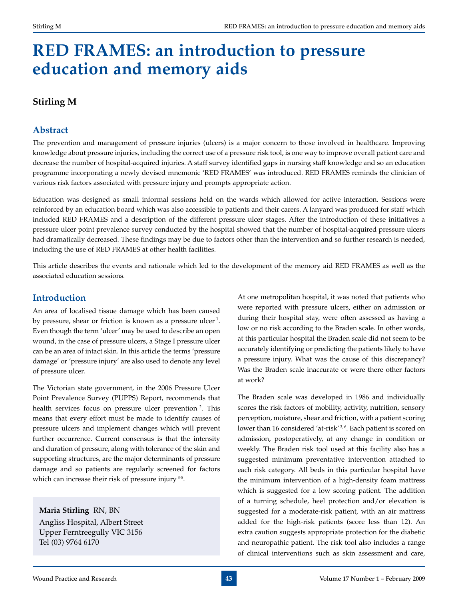# **Red frames: an introduction to pressure education and memory aids**

# **Stirling M**

# **Abstract**

The prevention and management of pressure injuries (ulcers) is a major concern to those involved in healthcare. Improving knowledge about pressure injuries, including the correct use of a pressure risk tool, is one way to improve overall patient care and decrease the number of hospital-acquired injuries. A staff survey identified gaps in nursing staff knowledge and so an education programme incorporating a newly devised mnemonic 'RED FRAMES' was introduced. RED FRAMES reminds the clinician of various risk factors associated with pressure injury and prompts appropriate action.

Education was designed as small informal sessions held on the wards which allowed for active interaction. Sessions were reinforced by an education board which was also accessible to patients and their carers. A lanyard was produced for staff which included RED FRAMES and a description of the different pressure ulcer stages. After the introduction of these initiatives a pressure ulcer point prevalence survey conducted by the hospital showed that the number of hospital-acquired pressure ulcers had dramatically decreased. These findings may be due to factors other than the intervention and so further research is needed, including the use of RED FRAMES at other health facilities.

This article describes the events and rationale which led to the development of the memory aid RED FRAMES as well as the associated education sessions.

# **Introduction**

An area of localised tissue damage which has been caused by pressure, shear or friction is known as a pressure ulcer<sup>1</sup>. Even though the term 'ulcer' may be used to describe an open wound, in the case of pressure ulcers, a Stage I pressure ulcer can be an area of intact skin. In this article the terms 'pressure damage' or 'pressure injury' are also used to denote any level of pressure ulcer.

The Victorian state government, in the 2006 Pressure Ulcer Point Prevalence Survey (PUPPS) Report, recommends that health services focus on pressure ulcer prevention <sup>2</sup>. This means that every effort must be made to identify causes of pressure ulcers and implement changes which will prevent further occurrence. Current consensus is that the intensity and duration of pressure, along with tolerance of the skin and supporting structures, are the major determinants of pressure damage and so patients are regularly screened for factors which can increase their risk of pressure injury 3-5.

**Maria Stirling** RN, BN

Angliss Hospital, Albert Street Upper Ferntreegully VIC 3156 Tel (03) 9764 6170

At one metropolitan hospital, it was noted that patients who were reported with pressure ulcers, either on admission or during their hospital stay, were often assessed as having a low or no risk according to the Braden scale. In other words, at this particular hospital the Braden scale did not seem to be accurately identifying or predicting the patients likely to have a pressure injury. What was the cause of this discrepancy? Was the Braden scale inaccurate or were there other factors at work?

The Braden scale was developed in 1986 and individually scores the risk factors of mobility, activity, nutrition, sensory perception, moisture, shear and friction, with a patient scoring lower than 16 considered 'at-risk'<sup>3,6</sup>. Each patient is scored on admission, postoperatively, at any change in condition or weekly. The Braden risk tool used at this facility also has a suggested minimum preventative intervention attached to each risk category. All beds in this particular hospital have the minimum intervention of a high-density foam mattress which is suggested for a low scoring patient. The addition of a turning schedule, heel protection and/or elevation is suggested for a moderate-risk patient, with an air mattress added for the high-risk patients (score less than 12). An extra caution suggests appropriate protection for the diabetic and neuropathic patient. The risk tool also includes a range of clinical interventions such as skin assessment and care,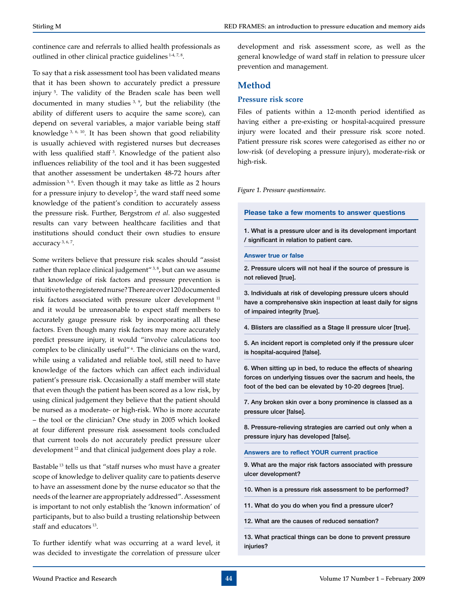continence care and referrals to allied health professionals as outlined in other clinical practice guidelines 1-4, 7, 8.

To say that a risk assessment tool has been validated means that it has been shown to accurately predict a pressure injury 5. The validity of the Braden scale has been well documented in many studies 3, 9, but the reliability (the ability of different users to acquire the same score), can depend on several variables, a major variable being staff knowledge 3, 6, 10. It has been shown that good reliability is usually achieved with registered nurses but decreases with less qualified staff<sup>3</sup>. Knowledge of the patient also influences reliability of the tool and it has been suggested that another assessment be undertaken 48-72 hours after admission<sup>3, 6</sup>. Even though it may take as little as 2 hours for a pressure injury to develop 2, the ward staff need some knowledge of the patient's condition to accurately assess the pressure risk. Further, Bergstrom *et al.* also suggested results can vary between healthcare facilities and that institutions should conduct their own studies to ensure accuracy<sup>3, 6, 7</sup>.

Some writers believe that pressure risk scales should "assist rather than replace clinical judgement $^{\prime\prime}$ <sup>3,8</sup>, but can we assume that knowledge of risk factors and pressure prevention is intuitive to the registered nurse? There are over 120 documented risk factors associated with pressure ulcer development 11 and it would be unreasonable to expect staff members to accurately gauge pressure risk by incorporating all these factors. Even though many risk factors may more accurately predict pressure injury, it would "involve calculations too complex to be clinically useful"<sup>6</sup>. The clinicians on the ward, while using a validated and reliable tool, still need to have knowledge of the factors which can affect each individual patient's pressure risk. Occasionally a staff member will state that even though the patient has been scored as a low risk, by using clinical judgement they believe that the patient should be nursed as a moderate- or high-risk. Who is more accurate – the tool or the clinician? One study in 2005 which looked at four different pressure risk assessment tools concluded that current tools do not accurately predict pressure ulcer development 12 and that clinical judgement does play a role.

Bastable 13 tells us that "staff nurses who must have a greater scope of knowledge to deliver quality care to patients deserve to have an assessment done by the nurse educator so that the needs of the learner are appropriately addressed". Assessment is important to not only establish the 'known information' of participants, but to also build a trusting relationship between staff and educators 13.

To further identify what was occurring at a ward level, it was decided to investigate the correlation of pressure ulcer

development and risk assessment score, as well as the general knowledge of ward staff in relation to pressure ulcer prevention and management.

### **Method**

### **Pressure risk score**

Files of patients within a 12-month period identified as having either a pre-existing or hospital-acquired pressure injury were located and their pressure risk score noted. Patient pressure risk scores were categorised as either no or low-risk (of developing a pressure injury), moderate-risk or high-risk.

### *Figure 1. Pressure questionnaire.*

**Please take a few moments to answer questions**

1. What is a pressure ulcer and is its development important / significant in relation to patient care.

#### **Answer true or false**

2. Pressure ulcers will not heal if the source of pressure is not relieved [true].

3. Individuals at risk of developing pressure ulcers should have a comprehensive skin inspection at least daily for signs of impaired integrity [true].

4. Blisters are classified as a Stage II pressure ulcer [true].

5. An incident report is completed only if the pressure ulcer is hospital-acquired [false].

6. When sitting up in bed, to reduce the effects of shearing forces on underlying tissues over the sacrum and heels, the foot of the bed can be elevated by 10-20 degrees [true].

7. Any broken skin over a bony prominence is classed as a pressure ulcer [false].

8. Pressure-relieving strategies are carried out only when a pressure injury has developed [false].

**Answers are to reflect YOUR current practice**

9. What are the major risk factors associated with pressure ulcer development?

10. When is a pressure risk assessment to be performed?

11. What do you do when you find a pressure ulcer?

12. What are the causes of reduced sensation?

13. What practical things can be done to prevent pressure injuries?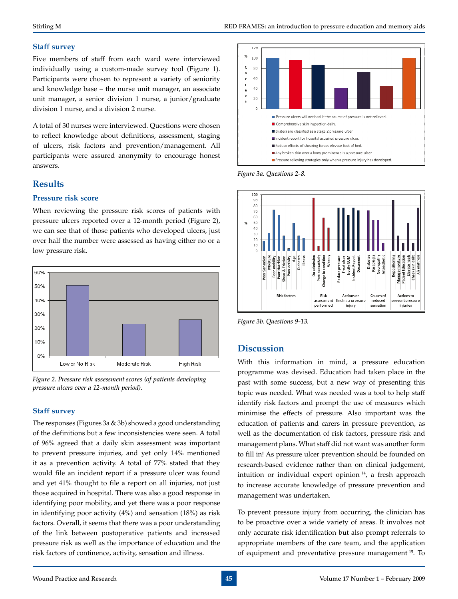### **Staff survey**

Five members of staff from each ward were interviewed individually using a custom-made survey tool (Figure 1). Participants were chosen to represent a variety of seniority and knowledge base – the nurse unit manager, an associate unit manager, a senior division 1 nurse, a junior/graduate division 1 nurse, and a division 2 nurse.

A total of 30 nurses were interviewed. Questions were chosen to reflect knowledge about definitions, assessment, staging of ulcers, risk factors and prevention/management. All participants were assured anonymity to encourage honest answers.

# **Results**

### **Pressure risk score**

When reviewing the pressure risk scores of patients with pressure ulcers reported over a 12-month period (Figure 2), we can see that of those patients who developed ulcers, just over half the number were assessed as having either no or a low pressure risk.



*Figure 2. Pressure risk assessment scores (of patients developing pressure ulcers over a 12-month period).*

### **Staff survey**

The responses (Figures 3a & 3b) showed a good understanding of the definitions but a few inconsistencies were seen. A total of 96% agreed that a daily skin assessment was important to prevent pressure injuries, and yet only 14% mentioned it as a prevention activity. A total of 77% stated that they would file an incident report if a pressure ulcer was found and yet 41% thought to file a report on all injuries, not just those acquired in hospital. There was also a good response in identifying poor mobility, and yet there was a poor response in identifying poor activity (4%) and sensation (18%) as risk factors. Overall, it seems that there was a poor understanding of the link between postoperative patients and increased pressure risk as well as the importance of education and the risk factors of continence, activity, sensation and illness.



*Figure 3a. Questions 2-8.*



*Figure 3b. Questions 9-13.*

# **Discussion**

With this information in mind, a pressure education programme was devised. Education had taken place in the past with some success, but a new way of presenting this topic was needed. What was needed was a tool to help staff identify risk factors and prompt the use of measures which minimise the effects of pressure. Also important was the education of patients and carers in pressure prevention, as well as the documentation of risk factors, pressure risk and management plans. What staff did not want was another form to fill in! As pressure ulcer prevention should be founded on research-based evidence rather than on clinical judgement, intuition or individual expert opinion 14, a fresh approach to increase accurate knowledge of pressure prevention and management was undertaken.

To prevent pressure injury from occurring, the clinician has to be proactive over a wide variety of areas. It involves not only accurate risk identification but also prompt referrals to appropriate members of the care team, and the application of equipment and preventative pressure management 15. To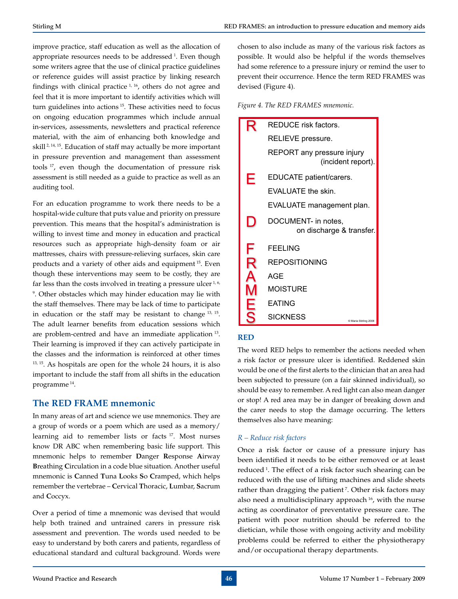improve practice, staff education as well as the allocation of appropriate resources needs to be addressed<sup>1</sup>. Even though some writers agree that the use of clinical practice guidelines or reference guides will assist practice by linking research findings with clinical practice  $1, 16$ , others do not agree and feel that it is more important to identify activities which will turn guidelines into actions 15. These activities need to focus on ongoing education programmes which include annual in-services, assessments, newsletters and practical reference material, with the aim of enhancing both knowledge and skill 2, 14, 15. Education of staff may actually be more important in pressure prevention and management than assessment tools 17, even though the documentation of pressure risk assessment is still needed as a guide to practice as well as an auditing tool.

For an education programme to work there needs to be a hospital-wide culture that puts value and priority on pressure prevention. This means that the hospital's administration is willing to invest time and money in education and practical resources such as appropriate high-density foam or air mattresses, chairs with pressure-relieving surfaces, skin care products and a variety of other aids and equipment 15. Even though these interventions may seem to be costly, they are far less than the costs involved in treating a pressure ulcer<sup>1,6,</sup> 9 . Other obstacles which may hinder education may lie with the staff themselves. There may be lack of time to participate in education or the staff may be resistant to change 13, 15. The adult learner benefits from education sessions which are problem-centred and have an immediate application 13. Their learning is improved if they can actively participate in the classes and the information is reinforced at other times 13, 15. As hospitals are open for the whole 24 hours, it is also important to include the staff from all shifts in the education programme 14.

# **The RED FRAME mnemonic**

In many areas of art and science we use mnemonics. They are a group of words or a poem which are used as a memory/ learning aid to remember lists or facts 17. Most nurses know DR ABC when remembering basic life support. This mnemonic helps to remember **D**anger **R**esponse **A**irway **B**reathing **C**irculation in a code blue situation. Another useful mnemonic is **C**anned **T**una **L**ooks **S**o **C**ramped, which helps remember the vertebrae – **C**ervical **T**horacic, **L**umbar, **S**acrum and **C**occyx.

Over a period of time a mnemonic was devised that would help both trained and untrained carers in pressure risk assessment and prevention. The words used needed to be easy to understand by both carers and patients, regardless of educational standard and cultural background. Words were

chosen to also include as many of the various risk factors as possible. It would also be helpful if the words themselves had some reference to a pressure injury or remind the user to prevent their occurrence. Hence the term RED FRAMES was devised (Figure 4).

*Figure 4. The RED FRAMES mnemonic.*

|                  | REDUCE risk factors.                             |
|------------------|--------------------------------------------------|
|                  | RELIEVE pressure.                                |
|                  | REPORT any pressure injury<br>(incident report). |
| Е                | EDUCATE patient/carers.                          |
|                  | <b>EVALUATE the skin.</b>                        |
|                  | EVALUATE management plan.                        |
|                  | DOCUMENT- in notes,<br>on discharge & transfer.  |
| F                | <b>FEELING</b>                                   |
| R                | REPOSITIONING                                    |
| $\blacktriangle$ | <b>AGE</b>                                       |
|                  | MOISTURE                                         |
| Ę                | <b>EATING</b>                                    |
| S                | <b>SICKNESS</b><br>C Maria Stirling 2008         |

### **RED**

The word RED helps to remember the actions needed when a risk factor or pressure ulcer is identified. Reddened skin would be one of the first alerts to the clinician that an area had been subjected to pressure (on a fair skinned individual), so should be easy to remember. A red light can also mean danger or stop! A red area may be in danger of breaking down and the carer needs to stop the damage occurring. The letters themselves also have meaning:

### *R – Reduce risk factors*

Once a risk factor or cause of a pressure injury has been identified it needs to be either removed or at least reduced<sup>1</sup>. The effect of a risk factor such shearing can be reduced with the use of lifting machines and slide sheets rather than dragging the patient<sup>7</sup>. Other risk factors may also need a multidisciplinary approach  $16$ , with the nurse acting as coordinator of preventative pressure care. The patient with poor nutrition should be referred to the dietician, while those with ongoing activity and mobility problems could be referred to either the physiotherapy and/or occupational therapy departments.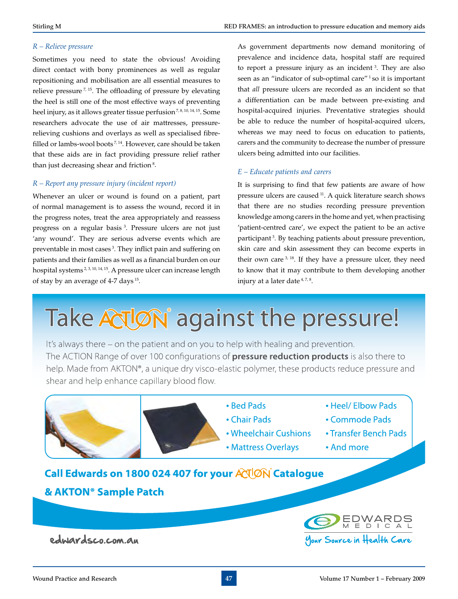### *R – Relieve pressure*

Sometimes you need to state the obvious! Avoiding direct contact with bony prominences as well as regular repositioning and mobilisation are all essential measures to relieve pressure 7, 15. The offloading of pressure by elevating the heel is still one of the most effective ways of preventing heel injury, as it allows greater tissue perfusion<sup>7,8, 10, 14, 15</sup>. Some researchers advocate the use of air mattresses, pressurerelieving cushions and overlays as well as specialised fibrefilled or lambs-wool boots<sup>7, 14</sup>. However, care should be taken that these aids are in fact providing pressure relief rather than just decreasing shear and friction<sup>8</sup>.

### *R – Report any pressure injury (incident report)*

Whenever an ulcer or wound is found on a patient, part of normal management is to assess the wound, record it in the progress notes, treat the area appropriately and reassess progress on a regular basis 3. Pressure ulcers are not just 'any wound'. They are serious adverse events which are preventable in most cases<sup>3</sup>. They inflict pain and suffering on patients and their families as well as a financial burden on our hospital systems<sup>2, 3, 10, 14, 15</sup>. A pressure ulcer can increase length of stay by an average of 4-7 days 15.

As government departments now demand monitoring of prevalence and incidence data, hospital staff are required to report a pressure injury as an incident<sup>3</sup>. They are also seen as an "indicator of sub-optimal care"<sup>1</sup> so it is important that *all* pressure ulcers are recorded as an incident so that a differentiation can be made between pre-existing and hospital-acquired injuries. Preventative strategies should be able to reduce the number of hospital-acquired ulcers, whereas we may need to focus on education to patients, carers and the community to decrease the number of pressure ulcers being admitted into our facilities.

### *E – Educate patients and carers*

It is surprising to find that few patients are aware of how pressure ulcers are caused 11. A quick literature search shows that there are no studies recording pressure prevention knowledge among carers in the home and yet, when practising 'patient-centred care', we expect the patient to be an active participant<sup>3</sup>. By teaching patients about pressure prevention, skin care and skin assessment they can become experts in their own care <sup>3, 18</sup>. If they have a pressure ulcer, they need to know that it may contribute to them developing another injury at a later date  $4, 7, 8$ .

# Take ACUON against the pressure!

It's always there – on the patient and on you to help with healing and prevention. The ACTION Range of over 100 configurations of **pressure reduction products** is also there to help. Made from AKTON®, a unique dry visco-elastic polymer, these products reduce pressure and shear and help enhance capillary blood flow.



edwardsco.com.au

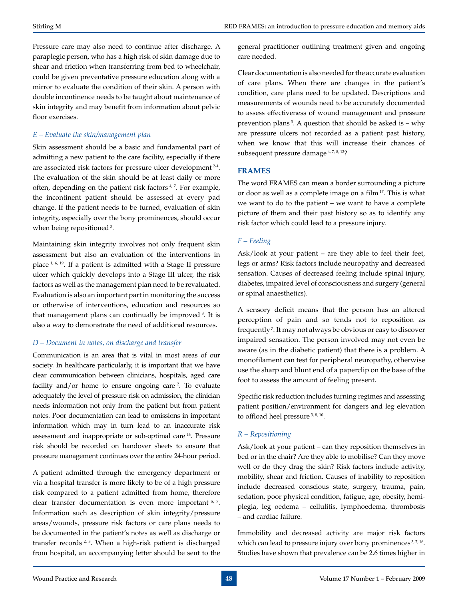Pressure care may also need to continue after discharge. A paraplegic person, who has a high risk of skin damage due to shear and friction when transferring from bed to wheelchair, could be given preventative pressure education along with a mirror to evaluate the condition of their skin. A person with double incontinence needs to be taught about maintenance of skin integrity and may benefit from information about pelvic floor exercises.

### *E – Evaluate the skin/management plan*

Skin assessment should be a basic and fundamental part of admitting a new patient to the care facility, especially if there are associated risk factors for pressure ulcer development 2-4. The evaluation of the skin should be at least daily or more often, depending on the patient risk factors<sup>4,7</sup>. For example, the incontinent patient should be assessed at every pad change. If the patient needs to be turned, evaluation of skin integrity, especially over the bony prominences, should occur when being repositioned<sup>3</sup>.

Maintaining skin integrity involves not only frequent skin assessment but also an evaluation of the interventions in place 1, 6, 19. If a patient is admitted with a Stage II pressure ulcer which quickly develops into a Stage III ulcer, the risk factors as well as the management plan need to be revaluated. Evaluation is also an important part in monitoring the success or otherwise of interventions, education and resources so that management plans can continually be improved<sup>3</sup>. It is also a way to demonstrate the need of additional resources.

### *D – Document in notes, on discharge and transfer*

Communication is an area that is vital in most areas of our society. In healthcare particularly, it is important that we have clear communication between clinicians, hospitals, aged care facility and/or home to ensure ongoing care <sup>2</sup>. To evaluate adequately the level of pressure risk on admission, the clinician needs information not only from the patient but from patient notes. Poor documentation can lead to omissions in important information which may in turn lead to an inaccurate risk assessment and inappropriate or sub-optimal care 14. Pressure risk should be recorded on handover sheets to ensure that pressure management continues over the entire 24-hour period.

A patient admitted through the emergency department or via a hospital transfer is more likely to be of a high pressure risk compared to a patient admitted from home, therefore clear transfer documentation is even more important 5, 7. Information such as description of skin integrity/pressure areas/wounds, pressure risk factors or care plans needs to be documented in the patient's notes as well as discharge or transfer records<sup>2, 3</sup>. When a high-risk patient is discharged from hospital, an accompanying letter should be sent to the

general practitioner outlining treatment given and ongoing care needed.

Clear documentation is also needed for the accurate evaluation of care plans. When there are changes in the patient's condition, care plans need to be updated. Descriptions and measurements of wounds need to be accurately documented to assess effectiveness of wound management and pressure prevention plans<sup>3</sup>. A question that should be asked is – why are pressure ulcers not recorded as a patient past history, when we know that this will increase their chances of subsequent pressure damage<sup>4, 7, 8, 12</sup>?

### **FRAMES**

The word FRAMES can mean a border surrounding a picture or door as well as a complete image on a film 17. This is what we want to do to the patient – we want to have a complete picture of them and their past history so as to identify any risk factor which could lead to a pressure injury.

### *F – Feeling*

Ask/look at your patient – are they able to feel their feet, legs or arms? Risk factors include neuropathy and decreased sensation. Causes of decreased feeling include spinal injury, diabetes, impaired level of consciousness and surgery (general or spinal anaesthetics).

A sensory deficit means that the person has an altered perception of pain and so tends not to reposition as frequently<sup>7</sup>. It may not always be obvious or easy to discover impaired sensation. The person involved may not even be aware (as in the diabetic patient) that there is a problem. A monofilament can test for peripheral neuropathy, otherwise use the sharp and blunt end of a paperclip on the base of the foot to assess the amount of feeling present.

Specific risk reduction includes turning regimes and assessing patient position/environment for dangers and leg elevation to offload heel pressure<sup>3, 8, 10</sup>.

# *R – Repositioning*

Ask/look at your patient – can they reposition themselves in bed or in the chair? Are they able to mobilise? Can they move well or do they drag the skin? Risk factors include activity, mobility, shear and friction. Causes of inability to reposition include decreased conscious state, surgery, trauma, pain, sedation, poor physical condition, fatigue, age, obesity, hemiplegia, leg oedema – cellulitis, lymphoedema, thrombosis – and cardiac failure.

Immobility and decreased activity are major risk factors which can lead to pressure injury over bony prominences<sup>3,7,16</sup>. Studies have shown that prevalence can be 2.6 times higher in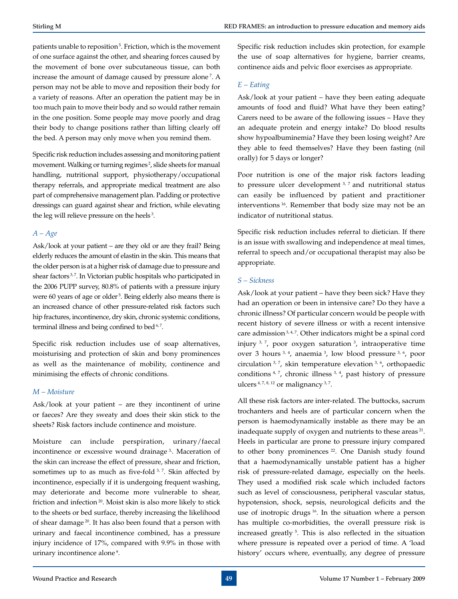patients unable to reposition<sup>5</sup>. Friction, which is the movement of one surface against the other, and shearing forces caused by the movement of bone over subcutaneous tissue, can both increase the amount of damage caused by pressure alone<sup>7</sup>. A person may not be able to move and reposition their body for a variety of reasons. After an operation the patient may be in too much pain to move their body and so would rather remain in the one position. Some people may move poorly and drag their body to change positions rather than lifting clearly off the bed. A person may only move when you remind them.

Specific risk reduction includes assessing and monitoring patient movement. Walking or turning regimes<sup>2</sup>, slide sheets for manual handling, nutritional support, physiotherapy/occupational therapy referrals, and appropriate medical treatment are also part of comprehensive management plan. Padding or protective dressings can guard against shear and friction, while elevating the leg will relieve pressure on the heels 3.

### *A – Age*

Ask/look at your patient – are they old or are they frail? Being elderly reduces the amount of elastin in the skin. This means that the older person is at a higher risk of damage due to pressure and shear factors<sup>3,7</sup>. In Victorian public hospitals who participated in the 2006 PUPP survey, 80.8% of patients with a pressure injury were 60 years of age or older<sup>5</sup>. Being elderly also means there is an increased chance of other pressure-related risk factors such hip fractures, incontinence, dry skin, chronic systemic conditions, terminal illness and being confined to bed  $6, 7$ .

Specific risk reduction includes use of soap alternatives, moisturising and protection of skin and bony prominences as well as the maintenance of mobility, continence and minimising the effects of chronic conditions.

### *M – Moisture*

Ask/look at your patient – are they incontinent of urine or faeces? Are they sweaty and does their skin stick to the sheets? Risk factors include continence and moisture.

Moisture can include perspiration, urinary/faecal incontinence or excessive wound drainage<sup>3</sup>. Maceration of the skin can increase the effect of pressure, shear and friction, sometimes up to as much as five-fold  $3, 7$ . Skin affected by incontinence, especially if it is undergoing frequent washing, may deteriorate and become more vulnerable to shear, friction and infection 20. Moist skin is also more likely to stick to the sheets or bed surface, thereby increasing the likelihood of shear damage  $20$ . It has also been found that a person with urinary and faecal incontinence combined, has a pressure injury incidence of 17%, compared with 9.9% in those with urinary incontinence alone<sup>9</sup>.

Specific risk reduction includes skin protection, for example the use of soap alternatives for hygiene, barrier creams, continence aids and pelvic floor exercises as appropriate.

### *E – Eating*

Ask/look at your patient – have they been eating adequate amounts of food and fluid? What have they been eating? Carers need to be aware of the following issues – Have they an adequate protein and energy intake? Do blood results show hypoalbuminemia? Have they been losing weight? Are they able to feed themselves? Have they been fasting (nil orally) for 5 days or longer?

Poor nutrition is one of the major risk factors leading to pressure ulcer development  $3, 7$  and nutritional status can easily be influenced by patient and practitioner interventions 16. Remember that body size may not be an indicator of nutritional status.

Specific risk reduction includes referral to dietician. If there is an issue with swallowing and independence at meal times, referral to speech and/or occupational therapist may also be appropriate.

### *S – Sickness*

Ask/look at your patient – have they been sick? Have they had an operation or been in intensive care? Do they have a chronic illness? Of particular concern would be people with recent history of severe illness or with a recent intensive care admission<sup>3, 4, 7</sup>. Other indicators might be a spinal cord injury  $3, 7$ , poor oxygen saturation  $3$ , intraoperative time over 3 hours 3, 4, anaemia 3, low blood pressure 3, 6, poor circulation 3, 7, skin temperature elevation 3, 6, orthopaedic conditions  $4, 7$ , chronic illness  $3, 4$ , past history of pressure ulcers  $4, 7, 8, 12$  or malignancy  $3, 7$ .

All these risk factors are inter-related. The buttocks, sacrum trochanters and heels are of particular concern when the person is haemodynamically instable as there may be an inadequate supply of oxygen and nutrients to these areas 21. Heels in particular are prone to pressure injury compared to other bony prominences <sup>22</sup>. One Danish study found that a haemodynamically unstable patient has a higher risk of pressure-related damage, especially on the heels. They used a modified risk scale which included factors such as level of consciousness, peripheral vascular status, hypotension, shock, sepsis, neurological deficits and the use of inotropic drugs<sup>16</sup>. In the situation where a person has multiple co-morbidities, the overall pressure risk is increased greatly 5. This is also reflected in the situation where pressure is repeated over a period of time. A 'load history' occurs where, eventually, any degree of pressure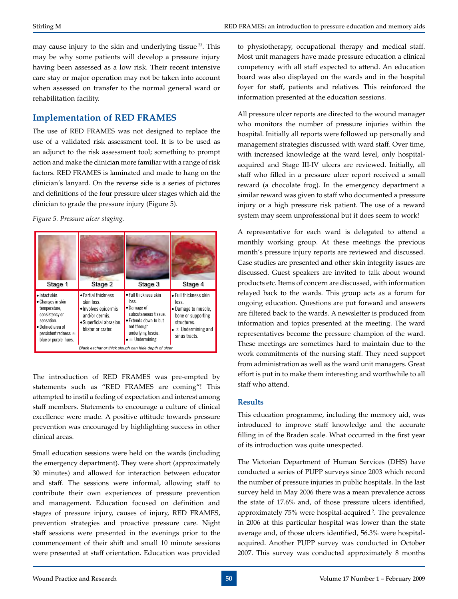may cause injury to the skin and underlying tissue<sup>23</sup>. This may be why some patients will develop a pressure injury having been assessed as a low risk. Their recent intensive care stay or major operation may not be taken into account when assessed on transfer to the normal general ward or rehabilitation facility.

# **Implementation of RED FRAMES**

The use of RED FRAMES was not designed to replace the use of a validated risk assessment tool. It is to be used as an adjunct to the risk assessment tool; something to prompt action and make the clinician more familiar with a range of risk factors. RED FRAMES is laminated and made to hang on the clinician's lanyard. On the reverse side is a series of pictures and definitions of the four pressure ulcer stages which aid the clinician to grade the pressure injury (Figure 5).

### *Figure 5. Pressure ulcer staging.*



The introduction of RED FRAMES was pre-empted by statements such as "RED FRAMES are coming"! This attempted to instil a feeling of expectation and interest among staff members. Statements to encourage a culture of clinical excellence were made. A positive attitude towards pressure prevention was encouraged by highlighting success in other clinical areas.

Small education sessions were held on the wards (including the emergency department). They were short (approximately 30 minutes) and allowed for interaction between educator and staff. The sessions were informal, allowing staff to contribute their own experiences of pressure prevention and management. Education focused on definition and stages of pressure injury, causes of injury, RED FRAMES, prevention strategies and proactive pressure care. Night staff sessions were presented in the evenings prior to the commencement of their shift and small 10 minute sessions were presented at staff orientation. Education was provided

to physiotherapy, occupational therapy and medical staff. Most unit managers have made pressure education a clinical competency with all staff expected to attend. An education board was also displayed on the wards and in the hospital foyer for staff, patients and relatives. This reinforced the information presented at the education sessions.

All pressure ulcer reports are directed to the wound manager who monitors the number of pressure injuries within the hospital. Initially all reports were followed up personally and management strategies discussed with ward staff. Over time, with increased knowledge at the ward level, only hospitalacquired and Stage III-IV ulcers are reviewed. Initially, all staff who filled in a pressure ulcer report received a small reward (a chocolate frog). In the emergency department a similar reward was given to staff who documented a pressure injury or a high pressure risk patient. The use of a reward system may seem unprofessional but it does seem to work!

A representative for each ward is delegated to attend a monthly working group. At these meetings the previous month's pressure injury reports are reviewed and discussed. Case studies are presented and other skin integrity issues are discussed. Guest speakers are invited to talk about wound products etc. Items of concern are discussed, with information relayed back to the wards. This group acts as a forum for ongoing education. Questions are put forward and answers are filtered back to the wards. A newsletter is produced from information and topics presented at the meeting. The ward representatives become the pressure champion of the ward. These meetings are sometimes hard to maintain due to the work commitments of the nursing staff. They need support from administration as well as the ward unit managers. Great effort is put in to make them interesting and worthwhile to all staff who attend.

### **Results**

This education programme, including the memory aid, was introduced to improve staff knowledge and the accurate filling in of the Braden scale. What occurred in the first year of its introduction was quite unexpected.

The Victorian Department of Human Services (DHS) have conducted a series of PUPP surveys since 2003 which record the number of pressure injuries in public hospitals. In the last survey held in May 2006 there was a mean prevalence across the state of 17.6% and, of those pressure ulcers identified, approximately 75% were hospital-acquired 2. The prevalence in 2006 at this particular hospital was lower than the state average and, of those ulcers identified, 56.3% were hospitalacquired. Another PUPP survey was conducted in October 2007. This survey was conducted approximately 8 months